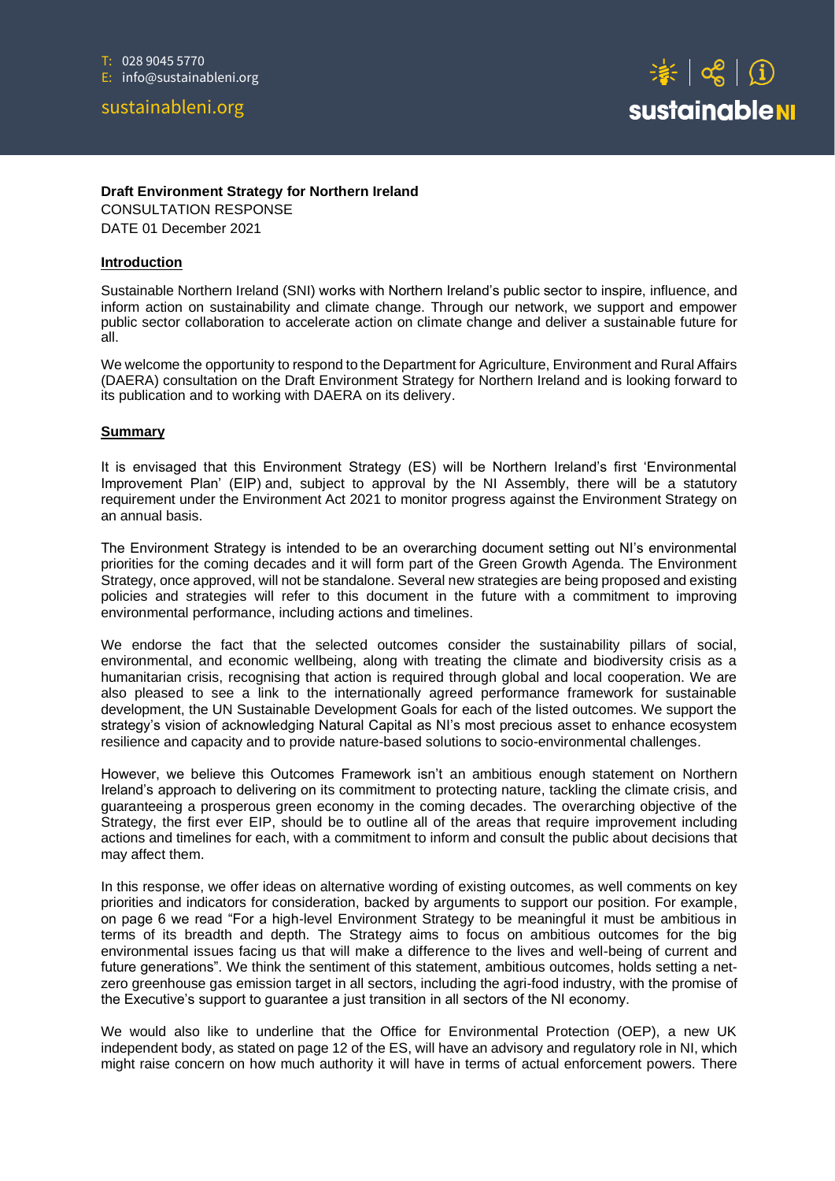# sustainableni.org



#### **Draft Environment Strategy for Northern Ireland**

CONSULTATION RESPONSE DATE 01 December 2021

#### **Introduction**

Sustainable Northern Ireland (SNI) works with Northern Ireland's public sector to inspire, influence, and inform action on sustainability and climate change. Through our network, we support and empower public sector collaboration to accelerate action on climate change and deliver a sustainable future for all.

We welcome the opportunity to respond to the Department for Agriculture, Environment and Rural Affairs (DAERA) consultation on the Draft Environment Strategy for Northern Ireland and is looking forward to its publication and to working with DAERA on its delivery.

#### **Summary**

It is envisaged that this Environment Strategy (ES) will be Northern Ireland's first 'Environmental Improvement Plan' (EIP) and, subject to approval by the NI Assembly, there will be a statutory requirement under the Environment Act 2021 to monitor progress against the Environment Strategy on an annual basis.

The Environment Strategy is intended to be an overarching document setting out NI's environmental priorities for the coming decades and it will form part of the Green Growth Agenda. The Environment Strategy, once approved, will not be standalone. Several new strategies are being proposed and existing policies and strategies will refer to this document in the future with a commitment to improving environmental performance, including actions and timelines.

We endorse the fact that the selected outcomes consider the sustainability pillars of social, environmental, and economic wellbeing, along with treating the climate and biodiversity crisis as a humanitarian crisis, recognising that action is required through global and local cooperation. We are also pleased to see a link to the internationally agreed performance framework for sustainable development, the UN Sustainable Development Goals for each of the listed outcomes. We support the strategy's vision of acknowledging Natural Capital as NI's most precious asset to enhance ecosystem resilience and capacity and to provide nature-based solutions to socio-environmental challenges.

However, we believe this Outcomes Framework isn't an ambitious enough statement on Northern Ireland's approach to delivering on its commitment to protecting nature, tackling the climate crisis, and guaranteeing a prosperous green economy in the coming decades. The overarching objective of the Strategy, the first ever EIP, should be to outline all of the areas that require improvement including actions and timelines for each, with a commitment to inform and consult the public about decisions that may affect them.

In this response, we offer ideas on alternative wording of existing outcomes, as well comments on key priorities and indicators for consideration, backed by arguments to support our position. For example, on page 6 we read "For a high-level Environment Strategy to be meaningful it must be ambitious in terms of its breadth and depth. The Strategy aims to focus on ambitious outcomes for the big environmental issues facing us that will make a difference to the lives and well-being of current and future generations". We think the sentiment of this statement, ambitious outcomes, holds setting a netzero greenhouse gas emission target in all sectors, including the agri-food industry, with the promise of the Executive's support to guarantee a just transition in all sectors of the NI economy.

We would also like to underline that the Office for Environmental Protection (OEP), a new UK independent body, as stated on page 12 of the ES, will have an advisory and regulatory role in NI, which might raise concern on how much authority it will have in terms of actual enforcement powers. There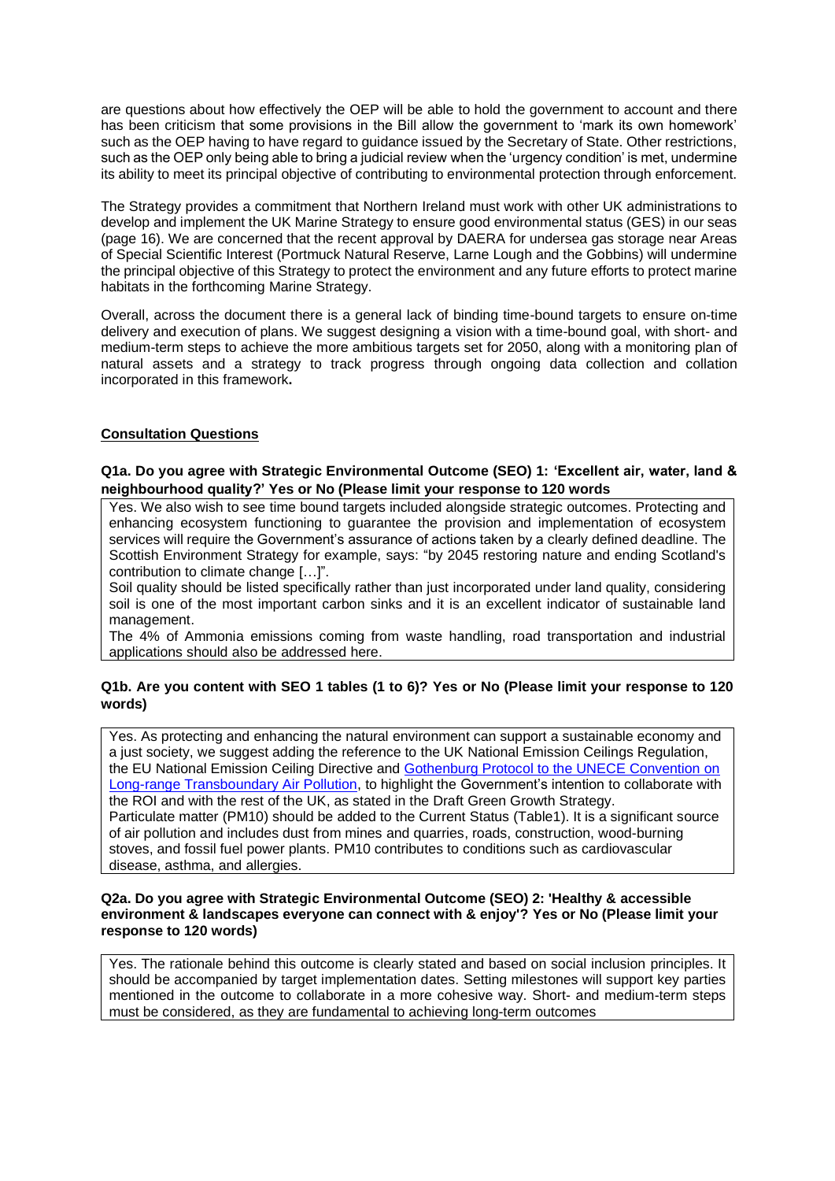are questions about how effectively the OEP will be able to hold the government to account and there has been criticism that some provisions in the Bill allow the government to 'mark its own homework' such as the OEP having to have regard to guidance issued by the Secretary of State. Other restrictions, such as the OEP only being able to bring a judicial review when the 'urgency condition' is met, undermine its ability to meet its principal objective of contributing to environmental protection through enforcement.

The Strategy provides a commitment that Northern Ireland must work with other UK administrations to develop and implement the UK Marine Strategy to ensure good environmental status (GES) in our seas (page 16). We are concerned that the recent approval by DAERA for undersea gas storage near Areas of Special Scientific Interest (Portmuck Natural Reserve, Larne Lough and the Gobbins) will undermine the principal objective of this Strategy to protect the environment and any future efforts to protect marine habitats in the forthcoming Marine Strategy.

Overall, across the document there is a general lack of binding time-bound targets to ensure on-time delivery and execution of plans. We suggest designing a vision with a time-bound goal, with short- and medium-term steps to achieve the more ambitious targets set for 2050, along with a monitoring plan of natural assets and a strategy to track progress through ongoing data collection and collation incorporated in this framework**.** 

# **Consultation Questions**

## **Q1a. Do you agree with Strategic Environmental Outcome (SEO) 1: 'Excellent air, water, land & neighbourhood quality?' Yes or No (Please limit your response to 120 words**

Yes. We also wish to see time bound targets included alongside strategic outcomes. Protecting and enhancing ecosystem functioning to guarantee the provision and implementation of ecosystem services will require the Government's assurance of actions taken by a clearly defined deadline. The Scottish Environment Strategy for example, says: "by 2045 restoring nature and ending Scotland's contribution to climate change […]".

Soil quality should be listed specifically rather than just incorporated under land quality, considering soil is one of the most important carbon sinks and it is an excellent indicator of sustainable land management.

The 4% of Ammonia emissions coming from waste handling, road transportation and industrial applications should also be addressed here.

# **Q1b. Are you content with SEO 1 tables (1 to 6)? Yes or No (Please limit your response to 120 words)**

Yes. As protecting and enhancing the natural environment can support a sustainable economy and a just society, we suggest adding the reference to the UK National Emission Ceilings Regulation, the EU National Emission Ceiling Directive and [Gothenburg Protocol to the UNECE Convention on](https://www.unece.org/env/lrtap/multi_h1.html)  [Long-range Transboundary Air Pollution,](https://www.unece.org/env/lrtap/multi_h1.html) to highlight the Government's intention to collaborate with the ROI and with the rest of the UK, as stated in the Draft Green Growth Strategy. Particulate matter (PM10) should be added to the Current Status (Table1). It is a significant source of air pollution and includes dust from mines and quarries, roads, construction, wood-burning stoves, and fossil fuel power plants. PM10 contributes to conditions such as cardiovascular disease, asthma, and allergies.

## **Q2a. Do you agree with Strategic Environmental Outcome (SEO) 2: 'Healthy & accessible environment & landscapes everyone can connect with & enjoy'? Yes or No (Please limit your response to 120 words)**

Yes. The rationale behind this outcome is clearly stated and based on social inclusion principles. It should be accompanied by target implementation dates. Setting milestones will support key parties mentioned in the outcome to collaborate in a more cohesive way. Short- and medium-term steps must be considered, as they are fundamental to achieving long-term outcomes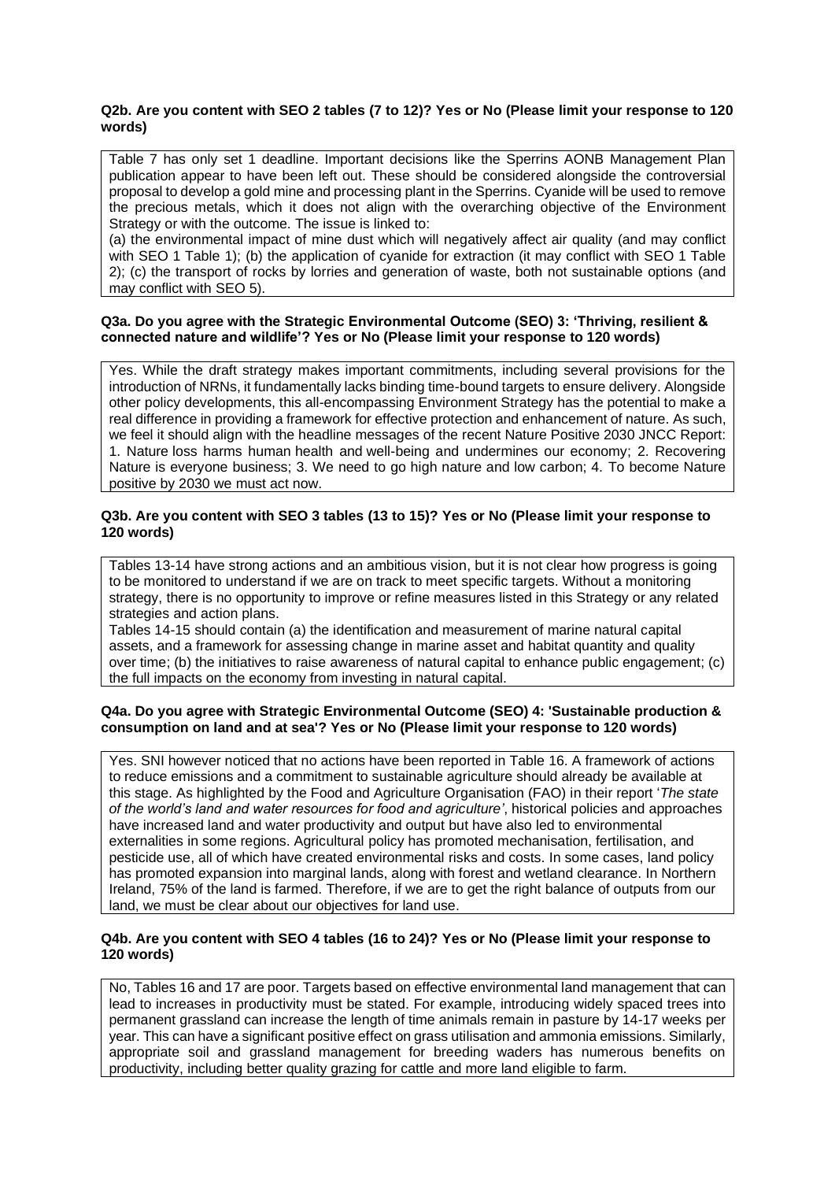#### **Q2b. Are you content with SEO 2 tables (7 to 12)? Yes or No (Please limit your response to 120 words)**

Table 7 has only set 1 deadline. Important decisions like the Sperrins AONB Management Plan publication appear to have been left out. These should be considered alongside the controversial proposal to develop a gold mine and processing plant in the Sperrins. Cyanide will be used to remove the precious metals, which it does not align with the overarching objective of the Environment Strategy or with the outcome. The issue is linked to:

(a) the environmental impact of mine dust which will negatively affect air quality (and may conflict with SEO 1 Table 1); (b) the application of cyanide for extraction (it may conflict with SEO 1 Table 2); (c) the transport of rocks by lorries and generation of waste, both not sustainable options (and may conflict with SEO 5).

#### **Q3a. Do you agree with the Strategic Environmental Outcome (SEO) 3: 'Thriving, resilient & connected nature and wildlife'? Yes or No (Please limit your response to 120 words)**

Yes. While the draft strategy makes important commitments, including several provisions for the introduction of NRNs, it fundamentally lacks binding time-bound targets to ensure delivery. Alongside other policy developments, this all-encompassing Environment Strategy has the potential to make a real difference in providing a framework for effective protection and enhancement of nature. As such, we feel it should align with the headline messages of the recent Nature Positive 2030 JNCC Report: 1. Nature loss harms human health and well-being and undermines our economy; 2. Recovering Nature is everyone business; 3. We need to go high nature and low carbon; 4. To become Nature positive by 2030 we must act now.

### **Q3b. Are you content with SEO 3 tables (13 to 15)? Yes or No (Please limit your response to 120 words)**

Tables 13-14 have strong actions and an ambitious vision, but it is not clear how progress is going to be monitored to understand if we are on track to meet specific targets. Without a monitoring strategy, there is no opportunity to improve or refine measures listed in this Strategy or any related strategies and action plans.

Tables 14-15 should contain (a) the identification and measurement of marine natural capital assets, and a framework for assessing change in marine asset and habitat quantity and quality over time; (b) the initiatives to raise awareness of natural capital to enhance public engagement; (c) the full impacts on the economy from investing in natural capital.

#### **Q4a. Do you agree with Strategic Environmental Outcome (SEO) 4: 'Sustainable production & consumption on land and at sea'? Yes or No (Please limit your response to 120 words)**

Yes. SNI however noticed that no actions have been reported in Table 16. A framework of actions to reduce emissions and a commitment to sustainable agriculture should already be available at this stage. As highlighted by the Food and Agriculture Organisation (FAO) in their report '*The state of the world's land and water resources for food and agriculture'*, historical policies and approaches have increased land and water productivity and output but have also led to environmental externalities in some regions. Agricultural policy has promoted mechanisation, fertilisation, and pesticide use, all of which have created environmental risks and costs. In some cases, land policy has promoted expansion into marginal lands, along with forest and wetland clearance. In Northern Ireland, 75% of the land is farmed. Therefore, if we are to get the right balance of outputs from our land, we must be clear about our objectives for land use.

#### **Q4b. Are you content with SEO 4 tables (16 to 24)? Yes or No (Please limit your response to 120 words)**

No, Tables 16 and 17 are poor. Targets based on effective environmental land management that can lead to increases in productivity must be stated. For example, introducing widely spaced trees into permanent grassland can increase the length of time animals remain in pasture by 14-17 weeks per year. This can have a significant positive effect on grass utilisation and ammonia emissions. Similarly, appropriate soil and grassland management for breeding waders has numerous benefits on productivity, including better quality grazing for cattle and more land eligible to farm.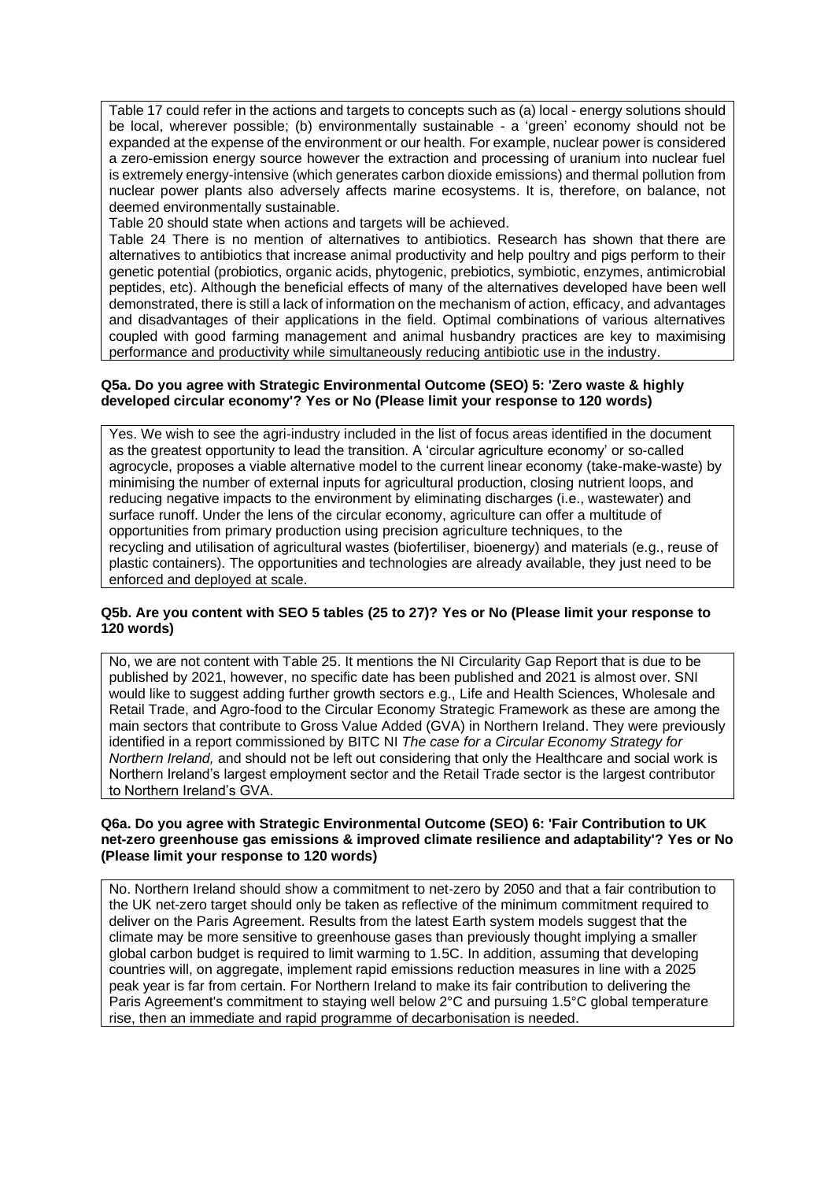Table 17 could refer in the actions and targets to concepts such as (a) local - energy solutions should be local, wherever possible; (b) environmentally sustainable - a 'green' economy should not be expanded at the expense of the environment or our health. For example, nuclear power is considered a zero-emission energy source however the extraction and processing of uranium into nuclear fuel is extremely energy-intensive (which generates carbon dioxide emissions) and thermal pollution from nuclear power plants also adversely affects marine ecosystems. It is, therefore, on balance, not deemed environmentally sustainable.

Table 20 should state when actions and targets will be achieved.

Table 24 There is no mention of alternatives to antibiotics. Research has shown that there are alternatives to antibiotics that increase animal productivity and help poultry and pigs perform to their genetic potential (probiotics, organic acids, phytogenic, prebiotics, symbiotic, enzymes, antimicrobial peptides, etc). Although the beneficial effects of many of the alternatives developed have been well demonstrated, there is still a lack of information on the mechanism of action, efficacy, and advantages and disadvantages of their applications in the field. Optimal combinations of various alternatives coupled with good farming management and animal husbandry practices are key to maximising performance and productivity while simultaneously reducing antibiotic use in the industry.

#### **Q5a. Do you agree with Strategic Environmental Outcome (SEO) 5: 'Zero waste & highly developed circular economy'? Yes or No (Please limit your response to 120 words)**

Yes. We wish to see the agri-industry included in the list of focus areas identified in the document as the greatest opportunity to lead the transition. A 'circular agriculture economy' or so-called agrocycle, proposes a viable alternative model to the current linear economy (take-make-waste) by minimising the number of external inputs for agricultural production, closing nutrient loops, and reducing negative impacts to the environment by eliminating discharges (i.e., wastewater) and surface runoff. Under the lens of the circular economy, agriculture can offer a multitude of opportunities from primary production using precision agriculture techniques, to the recycling and utilisation of agricultural wastes (biofertiliser, bioenergy) and materials (e.g., reuse of plastic containers). The opportunities and technologies are already available, they just need to be enforced and deployed at scale.

#### **Q5b. Are you content with SEO 5 tables (25 to 27)? Yes or No (Please limit your response to 120 words)**

No, we are not content with Table 25. It mentions the NI Circularity Gap Report that is due to be published by 2021, however, no specific date has been published and 2021 is almost over. SNI would like to suggest adding further growth sectors e.g., Life and Health Sciences, Wholesale and Retail Trade, and Agro-food to the Circular Economy Strategic Framework as these are among the main sectors that contribute to Gross Value Added (GVA) in Northern Ireland. They were previously identified in a report commissioned by BITC NI *The case for a Circular Economy Strategy for Northern Ireland,* and should not be left out considering that only the Healthcare and social work is Northern Ireland's largest employment sector and the Retail Trade sector is the largest contributor to Northern Ireland's GVA.

#### **Q6a. Do you agree with Strategic Environmental Outcome (SEO) 6: 'Fair Contribution to UK net-zero greenhouse gas emissions & improved climate resilience and adaptability'? Yes or No (Please limit your response to 120 words)**

No. Northern Ireland should show a commitment to net-zero by 2050 and that a fair contribution to the UK net-zero target should only be taken as reflective of the minimum commitment required to deliver on the Paris Agreement. Results from the latest Earth system models suggest that the climate may be more sensitive to greenhouse gases than previously thought implying a smaller global carbon budget is required to limit warming to 1.5C. In addition, assuming that developing countries will, on aggregate, implement rapid emissions reduction measures in line with a 2025 peak year is far from certain. For Northern Ireland to make its fair contribution to delivering the Paris Agreement's commitment to staying well below 2°C and pursuing 1.5°C global temperature rise, then an immediate and rapid programme of decarbonisation is needed.